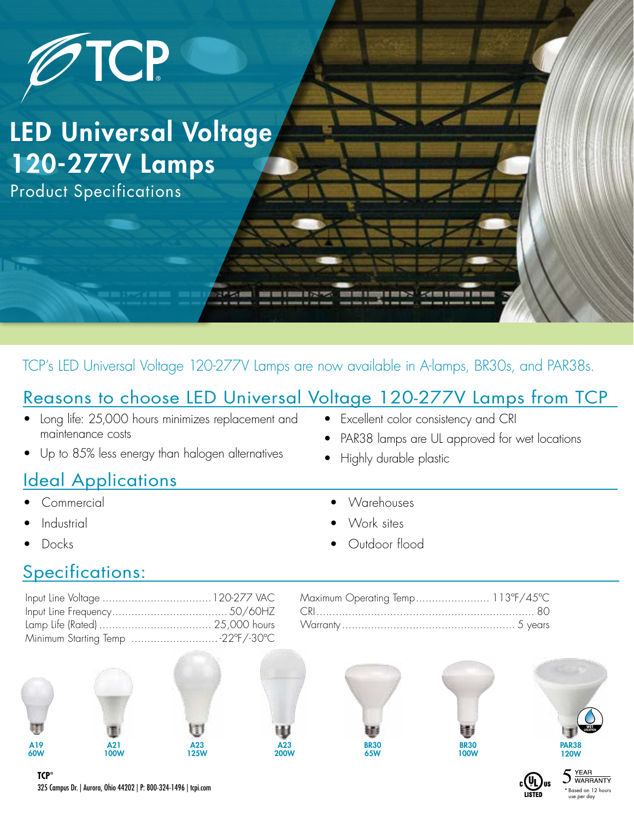

TCP's LED Universal Voltage 120-277V Lamps are now available in A-lamps, BR30s, and PAR38s.

## Reasons to choose LED Universal Voltage 120-277V Lamps from TCP

- Long life: 25,000 hours minimizes replacement and maintenance costs
- Up to 85% less energy than halogen alternatives

## **Ideal Applications**

- Commercial
- **Industrial**
- Docks
- Excellent color consistency and CRI
- PAR38 lamps are UL approved for wet locations
- Highly durable plastic
- Warehouses
- Work sites
- Outdoor flood

## Specifications:

| Minimum Starting Temp 22°F/-30°C |
|----------------------------------|



| Maximum Operating Temp 113°F/45°C |  |
|-----------------------------------|--|
|                                   |  |
|                                   |  |



A23 200W







**YEAR**  $\sum_{\text{WARRANTY}}$ \* Based on 12 hours use per day

325 Campus Dr. | Aurora, Ohio 44202 | P: 800-324-1496 | tcpi.com **TCP®**